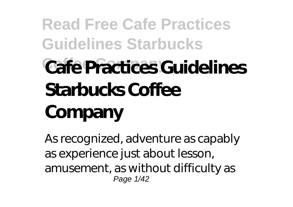# **Read Free Cafe Practices Guidelines Starbucks Coffee Company Cafe Practices Guidelines Starbucks Coffee Company**

As recognized, adventure as capably as experience just about lesson, amusement, as without difficulty as Page 1/42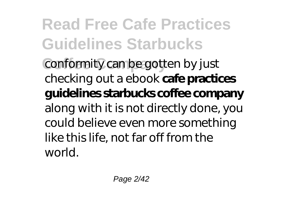conformity can be gotten by just checking out a ebook **cafe practices guidelines starbucks coffee company** along with it is not directly done, you could believe even more something like this life, not far off from the world.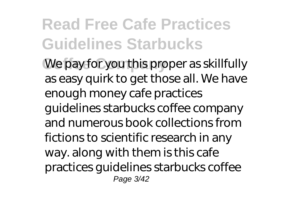We pay for you this proper as skillfully as easy quirk to get those all. We have enough money cafe practices guidelines starbucks coffee company and numerous book collections from fictions to scientific research in any way. along with them is this cafe practices guidelines starbucks coffee Page 3/42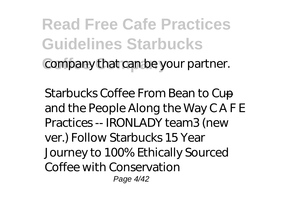**Read Free Cafe Practices Guidelines Starbucks** company that can be your partner.

Starbucks Coffee From Bean to Cup and the People Along the Way *C A F E Practices -- IRONLADY team3 (new ver.) Follow Starbucks 15 Year Journey to 100% Ethically Sourced Coffee with Conservation* Page 4/42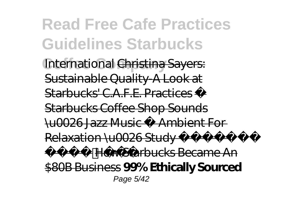**Read Free Cafe Practices Guidelines Starbucks Coffee Company** *International* Christina Sayers: Sustainable Quality-A Look at Starbucks' C.A.F.F. Practices — Starbucks Coffee Shop Sounds \u0026 Jazz Music ♫ Ambient For Relaxation \u0026 Study 카페 [4K] How Starbucks Became An \$80B Business **99% Ethically Sourced** Page 5/42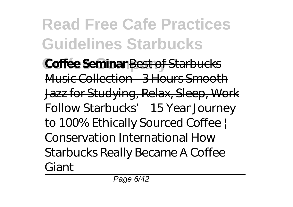**Read Free Cafe Practices Guidelines Starbucks Coffee Seminar Best of Starbucks** Music Collection - 3 Hours Smooth Jazz for Studying, Relax, Sleep, Work *Follow Starbucks' 15 Year Journey to 100% Ethically Sourced Coffee | Conservation International How Starbucks Really Became A Coffee Giant*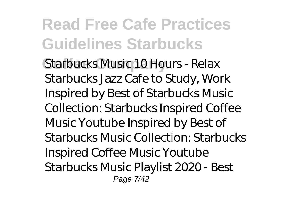**Coffee Company** Starbucks Music 10 Hours - Relax Starbucks Jazz Cafe to Study, Work *Inspired by Best of Starbucks Music Collection: Starbucks Inspired Coffee Music Youtube Inspired by Best of Starbucks Music Collection: Starbucks Inspired Coffee Music Youtube* Starbucks Music Playlist 2020 - Best Page 7/42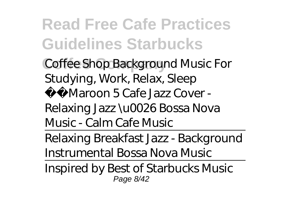**Coffee Shop Background Music For** Studying, Work, Relax, Sleep

*☕️Maroon 5 Cafe Jazz Cover -*

*Relaxing Jazz \u0026 Bossa Nova Music - Calm Cafe Music*

Relaxing Breakfast Jazz - Background Instrumental Bossa Nova Music

Inspired by Best of Starbucks Music Page 8/42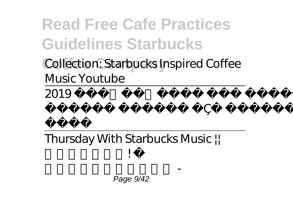**Collection: Starbucks Inspired Coffee** Music Youtube

2019 년 최고의 스타 벅스 음악 재생

Thursday With Starbucks Music || 爵士樂在咖啡館! ☕

목록 - 카페에서 가장 많이 사용되는

Page 9/42

爵士音樂的一個好工作日 -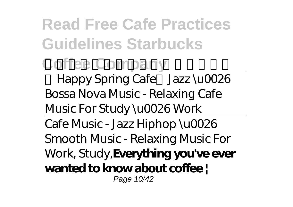**Read Free Cafe Practices Guidelines Starbucks Coffee Company** 

Happy Spring Cafe Jazz \u0026 Bossa Nova Music - Relaxing Cafe Music For Study \u0026 Work Cafe Music - Jazz Hiphop \u0026 Smooth Music - Relaxing Music For Work, Study,**Everything you've ever wanted to know about coffee |** Page 10/42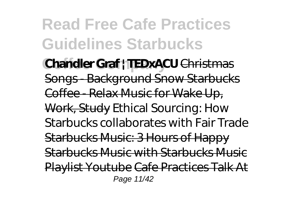**Read Free Cafe Practices Guidelines Starbucks Chandler Graf | TEDxACU** Christmas Songs - Background Snow Starbucks Coffee - Relax Music for Wake Up, Work, Study *Ethical Sourcing: How Starbucks collaborates with Fair Trade* Starbucks Music: 3 Hours of Happy Starbucks Music with Starbucks Music Playlist Youtube Cafe Practices Talk At Page 11/42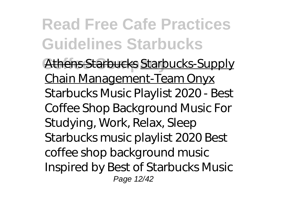**Read Free Cafe Practices Guidelines Starbucks Athens Starbucks Starbucks-Supply** Chain Management-Team Onyx *Starbucks Music Playlist 2020 - Best Coffee Shop Background Music For Studying, Work, Relax, Sleep Starbucks music playlist 2020 Best coffee shop background music Inspired by Best of Starbucks Music* Page 12/42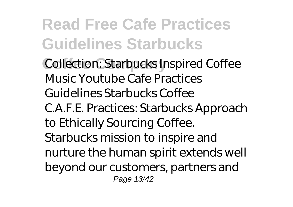**Coffee Company** *Collection: Starbucks Inspired Coffee Music Youtube Cafe Practices Guidelines Starbucks Coffee* C.A.F.E. Practices: Starbucks Approach to Ethically Sourcing Coffee. Starbucks mission to inspire and nurture the human spirit extends well beyond our customers, partners and Page 13/42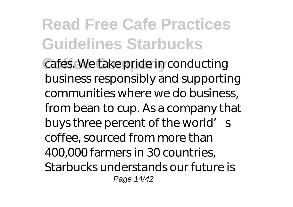cafes. We take pride in conducting business responsibly and supporting communities where we do business, from bean to cup. As a company that buys three percent of the world's coffee, sourced from more than 400,000 farmers in 30 countries, Starbucks understands our future is Page 14/42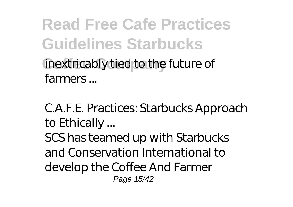**Read Free Cafe Practices Guidelines Starbucks Coffee Company** inextricably tied to the future of farmers ...

*C.A.F.E. Practices: Starbucks Approach to Ethically ...*

SCS has teamed up with Starbucks and Conservation International to develop the Coffee And Farmer Page 15/42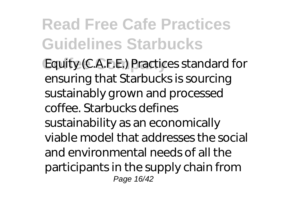**Coffee Company** Equity (C.A.F.E.) Practices standard for ensuring that Starbucks is sourcing sustainably grown and processed coffee. Starbucks defines sustainability as an economically viable model that addresses the social and environmental needs of all the participants in the supply chain from Page 16/42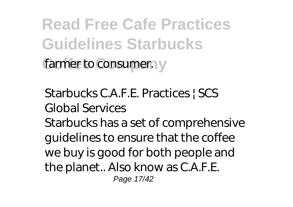**Read Free Cafe Practices Guidelines Starbucks** farmer to consumer.<sup>1</sup> V

*Starbucks C.A.F.E. Practices | SCS Global Services* Starbucks has a set of comprehensive guidelines to ensure that the coffee we buy is good for both people and the planet.. Also know as C.A.F.E. Page 17/42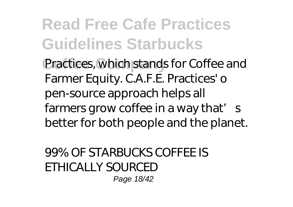**Practices, which stands for Coffee and** Farmer Equity. C.A.F.E. Practices' o pen-source approach helps all farmers grow coffee in a way that's better for both people and the planet.

*99% OF STARBUCKS COFFEE IS ETHICALLY SOURCED* Page 18/42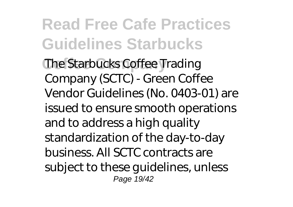**Coffee Company** The Starbucks Coffee Trading Company (SCTC) - Green Coffee Vendor Guidelines (No. 0403-01) are issued to ensure smooth operations and to address a high quality standardization of the day-to-day business. All SCTC contracts are subject to these guidelines, unless Page 19/42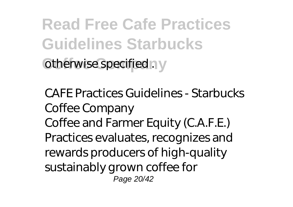**Read Free Cafe Practices Guidelines Starbucks Otherwise specified ny** 

*CAFE Practices Guidelines - Starbucks Coffee Company* Coffee and Farmer Equity (C.A.F.E.) Practices evaluates, recognizes and rewards producers of high-quality sustainably grown coffee for Page 20/42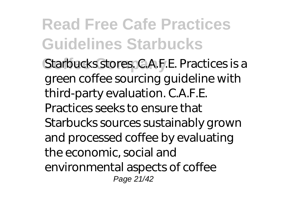**Starbucks stores. C.A.F.E. Practices is a** green coffee sourcing guideline with third-party evaluation. C.A.F.E. Practices seeks to ensure that Starbucks sources sustainably grown and processed coffee by evaluating the economic, social and environmental aspects of coffee Page 21/42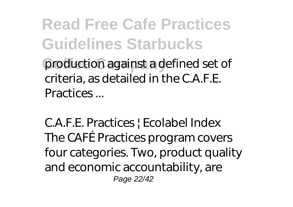**Read Free Cafe Practices Guidelines Starbucks** production against a defined set of criteria, as detailed in the C.A.F.E. Practices ...

*C.A.F.E. Practices | Ecolabel Index* The CAFÉ Practices program covers four categories. Two, product quality and economic accountability, are Page 22/42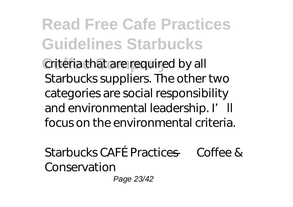**Read Free Cafe Practices Guidelines Starbucks Coffee Company** criteria that are required by all Starbucks suppliers. The other two categories are social responsibility and environmental leadership. I'll focus on the environmental criteria.

*Starbucks CAFÉ Practices — Coffee & Conservation* Page 23/42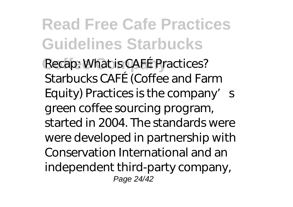Recap: What is CAFÉ Practices? Starbucks CAFÉ (Coffee and Farm Equity) Practices is the company's green coffee sourcing program, started in 2004. The standards were were developed in partnership with Conservation International and an independent third-party company, Page 24/42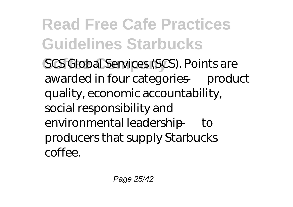**Read Free Cafe Practices Guidelines Starbucks SCS Global Services (SCS). Points are** 

awarded in four categories — product quality, economic accountability, social responsibility and environmental leadership — to producers that supply Starbucks coffee.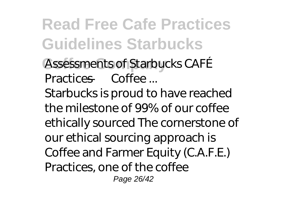**Read Free Cafe Practices Guidelines Starbucks Coffee Company** *Assessments of Starbucks CAFÉ Practices — Coffee ...* Starbucks is proud to have reached the milestone of 99% of our coffee ethically sourced The cornerstone of our ethical sourcing approach is Coffee and Farmer Equity (C.A.F.E.) Practices, one of the coffee Page 26/42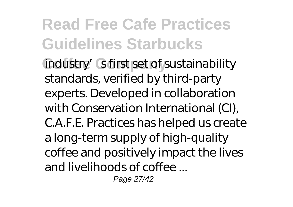**Read Free Cafe Practices Guidelines Starbucks** industry' sfirst set of sustainability standards, verified by third-party experts. Developed in collaboration with Conservation International (CI), C.A.F.E. Practices has helped us create a long-term supply of high-quality coffee and positively impact the lives

and livelihoods of coffee ...

Page 27/42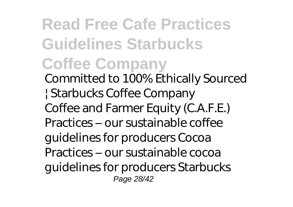**Read Free Cafe Practices Guidelines Starbucks Coffee Company** *Committed to 100% Ethically Sourced | Starbucks Coffee Company* Coffee and Farmer Equity (C.A.F.E.) Practices – our sustainable coffee guidelines for producers Cocoa Practices – our sustainable cocoa guidelines for producers Starbucks Page 28/42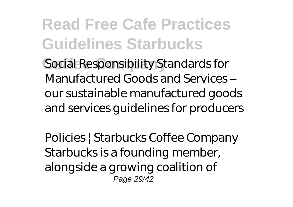**Social Responsibility Standards for** Manufactured Goods and Services – our sustainable manufactured goods and services guidelines for producers

*Policies | Starbucks Coffee Company* Starbucks is a founding member, alongside a growing coalition of Page 29/42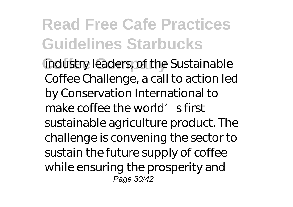industry leaders, of the Sustainable Coffee Challenge, a call to action led by Conservation International to make coffee the world's first sustainable agriculture product. The challenge is convening the sector to sustain the future supply of coffee while ensuring the prosperity and Page 30/42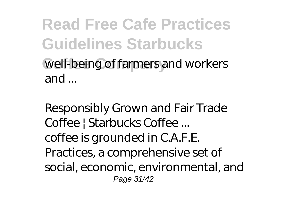**Read Free Cafe Practices Guidelines Starbucks Coffee Company** well-being of farmers and workers and ...

*Responsibly Grown and Fair Trade Coffee | Starbucks Coffee ...* coffee is grounded in C.A.F.E. Practices, a comprehensive set of social, economic, environmental, and Page 31/42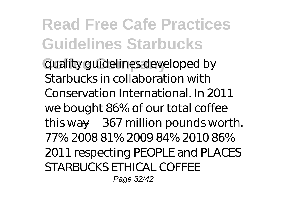**Coffee Company** quality guidelines developed by Starbucks in collaboration with Conservation International. In 2011 we bought 86% of our total coffee this way—367 million pounds worth. 77% 2008 81% 2009 84% 2010 86% 2011 respecting PEOPLE and PLACES STARBUCKS ETHICAL COFFFE Page 32/42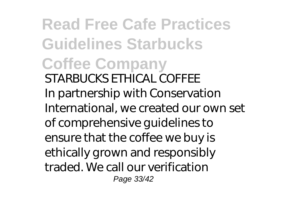**Read Free Cafe Practices Guidelines Starbucks Coffee Company** *STARBUCKS ETHICAL COFFEE* In partnership with Conservation International, we created our own set of comprehensive guidelines to ensure that the coffee we buy is ethically grown and responsibly traded. We call our verification Page 33/42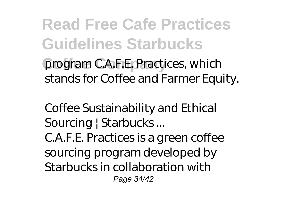**Read Free Cafe Practices Guidelines Starbucks** program C.A.F.E. Practices, which stands for Coffee and Farmer Equity.

*Coffee Sustainability and Ethical Sourcing | Starbucks ...* C.A.F.E. Practices is a green coffee sourcing program developed by Starbucks in collaboration with Page 34/42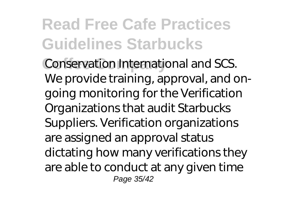**Conservation International and SCS.** We provide training, approval, and ongoing monitoring for the Verification Organizations that audit Starbucks Suppliers. Verification organizations are assigned an approval status dictating how many verifications they are able to conduct at any given time Page 35/42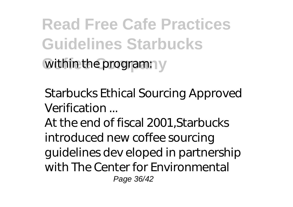**Read Free Cafe Practices Guidelines Starbucks** within the program: W

*Starbucks Ethical Sourcing Approved Verification ...*

At the end of fiscal 2001,Starbucks introduced new coffee sourcing guidelines dev eloped in partnership with The Center for Environmental Page 36/42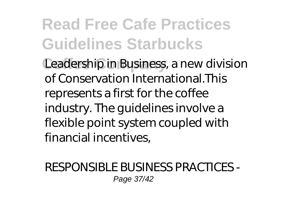Leadership in Business, a new division of Conservation International.This represents a first for the coffee industry. The guidelines involve a flexible point system coupled with financial incentives,

*RESPONSIBLE BUSINESS PRACTICES -* Page 37/42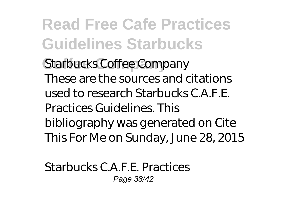**Coffee Company** *Starbucks Coffee Company* These are the sources and citations used to research Starbucks C.A.F.E. Practices Guidelines. This bibliography was generated on Cite This For Me on Sunday, June 28, 2015

*Starbucks C.A.F.E. Practices* Page 38/42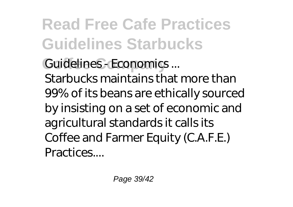**Coffee Company** *Guidelines - Economics ...*

Starbucks maintains that more than 99% of its beans are ethically sourced by insisting on a set of economic and agricultural standards it calls its Coffee and Farmer Equity (C.A.F.E.) **Practices**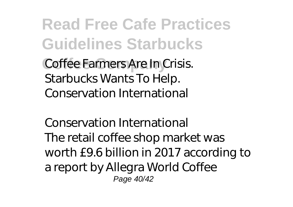**Read Free Cafe Practices Guidelines Starbucks Coffee Company** *Coffee Farmers Are In Crisis. Starbucks Wants To Help.* Conservation International

*Conservation International* The retail coffee shop market was worth £9.6 billion in 2017 according to a report by Allegra World Coffee Page 40/42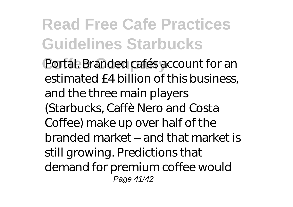Portal. Branded cafés account for an estimated £4 billion of this business, and the three main players (Starbucks, Caffè Nero and Costa Coffee) make up over half of the branded market – and that market is still growing. Predictions that demand for premium coffee would Page 41/42